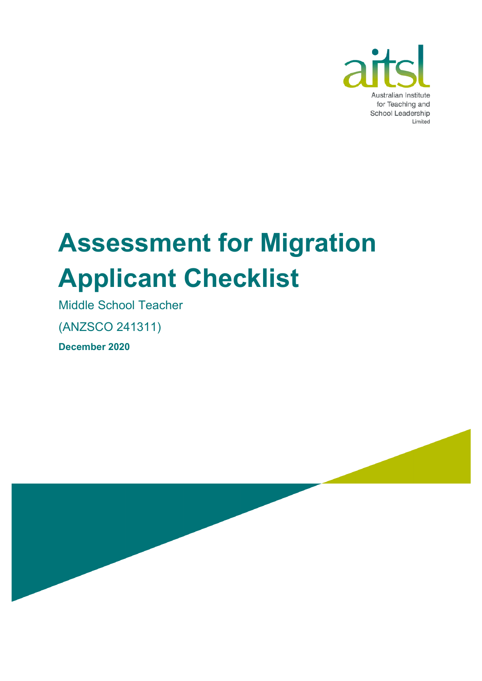

# **Assessment for Migration Applicant Checklist**

Middle School Teacher

(ANZSCO 241311)

**December 2020**

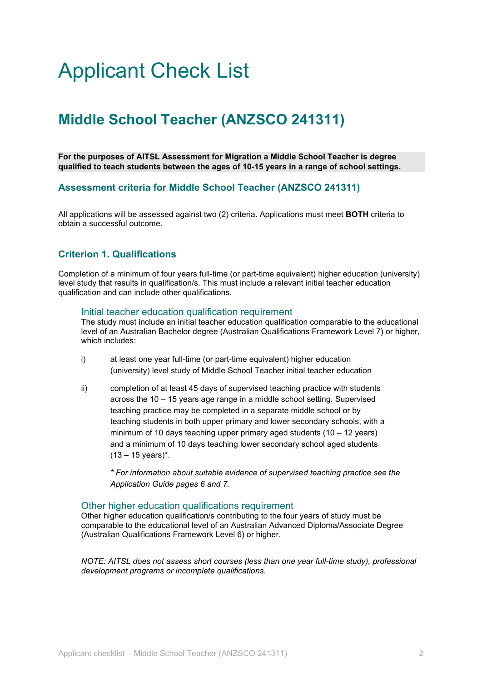### Applicant Check List

### **Middle School Teacher (ANZSCO 241311)**

**For the purposes of AITSL Assessment for Migration a Middle School Teacher is degree qualified to teach students between the ages of 10-15 years in a range of school settings.**

#### **Assessment criteria for Middle School Teacher (ANZSCO 241311)**

All applications will be assessed against two (2) criteria. Applications must meet **BOTH** criteria to obtain a successful outcome.

#### **Criterion 1. Qualifications**

Completion of a minimum of four years full-time (or part-time equivalent) higher education (university) level study that results in qualification/s. This must include a relevant initial teacher education qualification and can include other qualifications.

#### Initial teacher education qualification requirement

The study must include an initial teacher education qualification comparable to the educational level of an Australian Bachelor degree (Australian Qualifications Framework Level 7) or higher, which includes:

- i) at least one year full-time (or part-time equivalent) higher education (university) level study of Middle School Teacher initial teacher education
- ii) completion of at least 45 days of supervised teaching practice with students across the 10 – 15 years age range in a middle school setting. Supervised teaching practice may be completed in a separate middle school or by teaching students in both upper primary and lower secondary schools, with a minimum of 10 days teaching upper primary aged students (10 – 12 years) and a minimum of 10 days teaching lower secondary school aged students  $(13 - 15 \text{ years})^*$ .

*\* For information about suitable evidence of supervised teaching practice see the Application Guide pages 6 and 7.*

#### Other higher education qualifications requirement

Other higher education qualification/s contributing to the four years of study must be comparable to the educational level of an Australian Advanced Diploma/Associate Degree (Australian Qualifications Framework Level 6) or higher.

*NOTE: AITSL does not assess short courses (less than one year full-time study), professional development programs or incomplete qualifications.*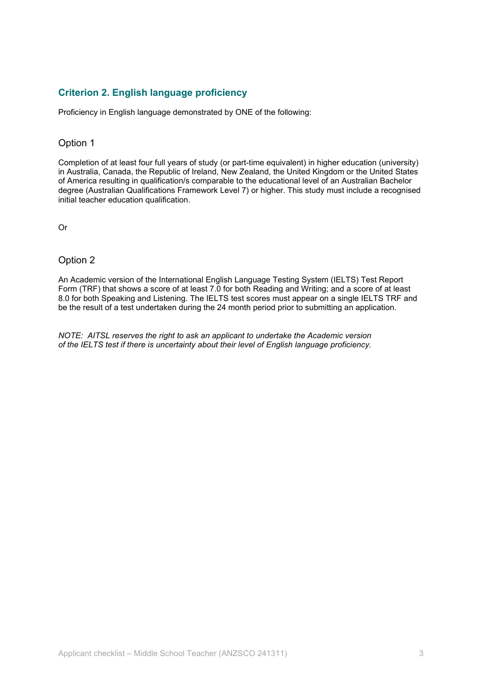#### **Criterion 2. English language proficiency**

Proficiency in English language demonstrated by ONE of the following:

#### Option 1

Completion of at least four full years of study (or part-time equivalent) in higher education (university) in Australia, Canada, the Republic of Ireland, New Zealand, the United Kingdom or the United States of America resulting in qualification/s comparable to the educational level of an Australian Bachelor degree (Australian Qualifications Framework Level 7) or higher. This study must include a recognised initial teacher education qualification.

Or

#### Option 2

An Academic version of the International English Language Testing System (IELTS) Test Report Form (TRF) that shows a score of at least 7.0 for both Reading and Writing; and a score of at least 8.0 for both Speaking and Listening. The IELTS test scores must appear on a single IELTS TRF and be the result of a test undertaken during the 24 month period prior to submitting an application.

*NOTE: AITSL reserves the right to ask an applicant to undertake the Academic version of the IELTS test if there is uncertainty about their level of English language proficiency.*